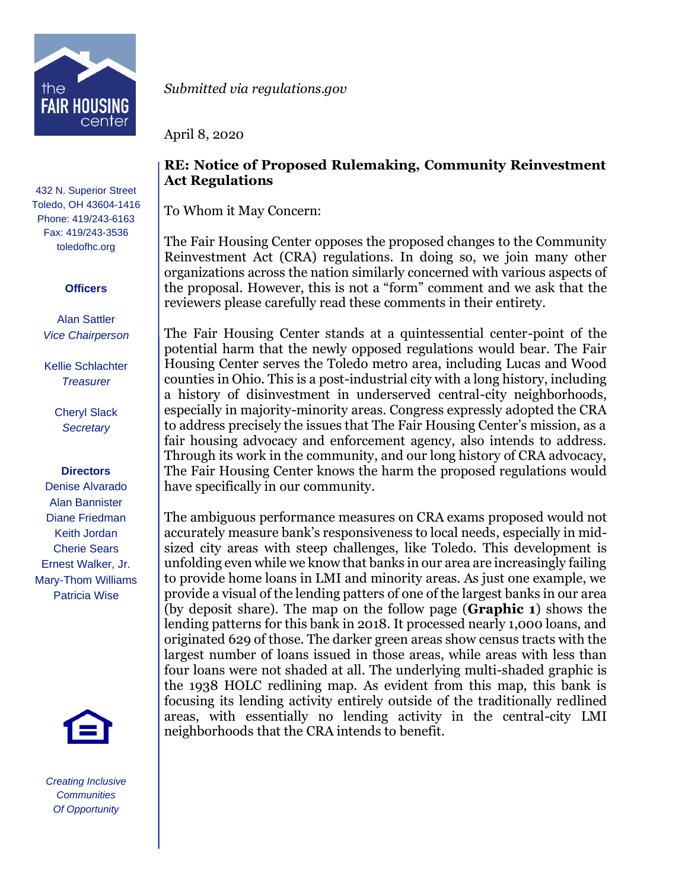

432 N. Superior Street Toledo, OH 43604-1416 Phone: 419/243-6163 Fax: 419/243-3536 toledofhc.org

## **Officers**

Alan Sattler *Vice Chairperson*

Kellie Schlachter *Treasurer*

> Cheryl Slack *Secretary*

## **Directors**

Denise Alvarado Alan Bannister Diane Friedman Keith Jordan Cherie Sears Ernest Walker, Jr. Mary-Thom Williams Patricia Wise



*Creating Inclusive Communities Of Opportunity*

*Submitted via regulations.gov* 

April 8, 2020

## **RE: Notice of Proposed Rulemaking, Community Reinvestment Act Regulations**

To Whom it May Concern:

The Fair Housing Center opposes the proposed changes to the Community Reinvestment Act (CRA) regulations. In doing so, we join many other organizations across the nation similarly concerned with various aspects of the proposal. However, this is not a "form" comment and we ask that the reviewers please carefully read these comments in their entirety.

The Fair Housing Center stands at a quintessential center-point of the potential harm that the newly opposed regulations would bear. The Fair Housing Center serves the Toledo metro area, including Lucas and Wood counties in Ohio. This is a post-industrial city with a long history, including a history of disinvestment in underserved central-city neighborhoods, especially in majority-minority areas. Congress expressly adopted the CRA to address precisely the issues that The Fair Housing Center's mission, as a fair housing advocacy and enforcement agency, also intends to address. Through its work in the community, and our long history of CRA advocacy, The Fair Housing Center knows the harm the proposed regulations would have specifically in our community.

The ambiguous performance measures on CRA exams proposed would not accurately measure bank's responsiveness to local needs, especially in midsized city areas with steep challenges, like Toledo. This development is unfolding even while we know that banks in our area are increasingly failing to provide home loans in LMI and minority areas. As just one example, we provide a visual of the lending patters of one of the largest banks in our area (by deposit share). The map on the follow page (**Graphic 1**) shows the lending patterns for this bank in 2018. It processed nearly 1,000 loans, and originated 629 of those. The darker green areas show census tracts with the largest number of loans issued in those areas, while areas with less than four loans were not shaded at all. The underlying multi-shaded graphic is the 1938 HOLC redlining map. As evident from this map, this bank is focusing its lending activity entirely outside of the traditionally redlined areas, with essentially no lending activity in the central-city LMI neighborhoods that the CRA intends to benefit.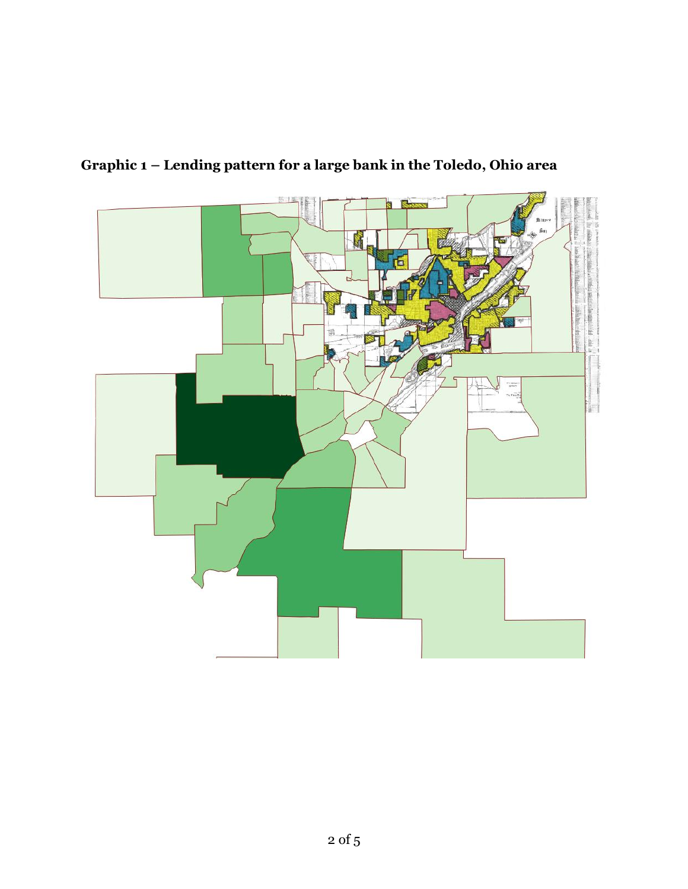

**Graphic 1 – Lending pattern for a large bank in the Toledo, Ohio area**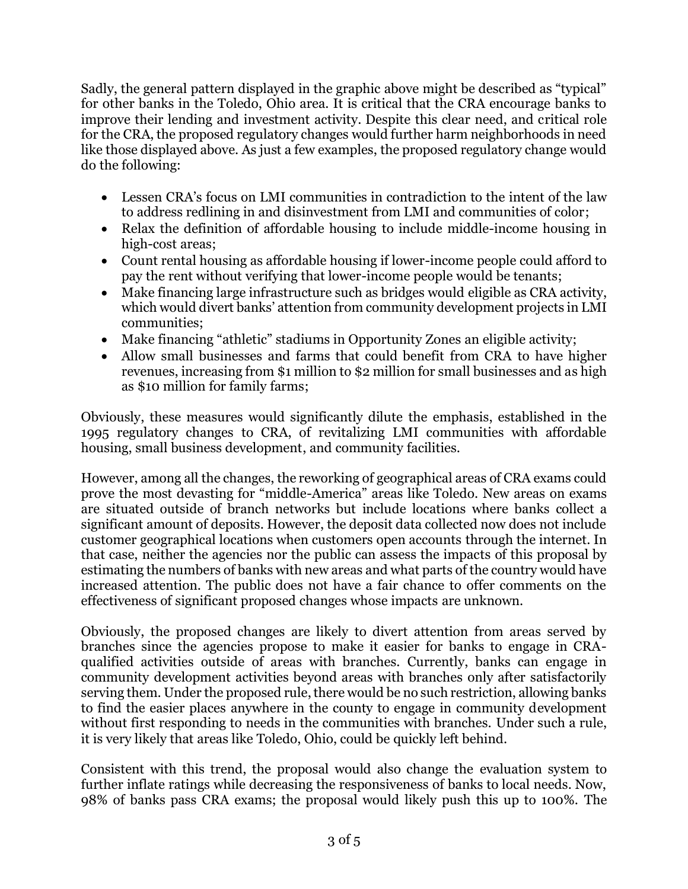Sadly, the general pattern displayed in the graphic above might be described as "typical" for other banks in the Toledo, Ohio area. It is critical that the CRA encourage banks to improve their lending and investment activity. Despite this clear need, and critical role for the CRA, the proposed regulatory changes would further harm neighborhoods in need like those displayed above. As just a few examples, the proposed regulatory change would do the following:

- Lessen CRA's focus on LMI communities in contradiction to the intent of the law to address redlining in and disinvestment from LMI and communities of color;
- Relax the definition of affordable housing to include middle-income housing in high-cost areas;
- Count rental housing as affordable housing if lower-income people could afford to pay the rent without verifying that lower-income people would be tenants;
- Make financing large infrastructure such as bridges would eligible as CRA activity, which would divert banks' attention from community development projects in LMI communities;
- Make financing "athletic" stadiums in Opportunity Zones an eligible activity;
- Allow small businesses and farms that could benefit from CRA to have higher revenues, increasing from \$1 million to \$2 million for small businesses and as high as \$10 million for family farms;

Obviously, these measures would significantly dilute the emphasis, established in the 1995 regulatory changes to CRA, of revitalizing LMI communities with affordable housing, small business development, and community facilities.

However, among all the changes, the reworking of geographical areas of CRA exams could prove the most devasting for "middle-America" areas like Toledo. New areas on exams are situated outside of branch networks but include locations where banks collect a significant amount of deposits. However, the deposit data collected now does not include customer geographical locations when customers open accounts through the internet. In that case, neither the agencies nor the public can assess the impacts of this proposal by estimating the numbers of banks with new areas and what parts of the country would have increased attention. The public does not have a fair chance to offer comments on the effectiveness of significant proposed changes whose impacts are unknown.

Obviously, the proposed changes are likely to divert attention from areas served by branches since the agencies propose to make it easier for banks to engage in CRAqualified activities outside of areas with branches. Currently, banks can engage in community development activities beyond areas with branches only after satisfactorily serving them. Under the proposed rule, there would be no such restriction, allowing banks to find the easier places anywhere in the county to engage in community development without first responding to needs in the communities with branches. Under such a rule, it is very likely that areas like Toledo, Ohio, could be quickly left behind.

Consistent with this trend, the proposal would also change the evaluation system to further inflate ratings while decreasing the responsiveness of banks to local needs. Now, 98% of banks pass CRA exams; the proposal would likely push this up to 100%. The